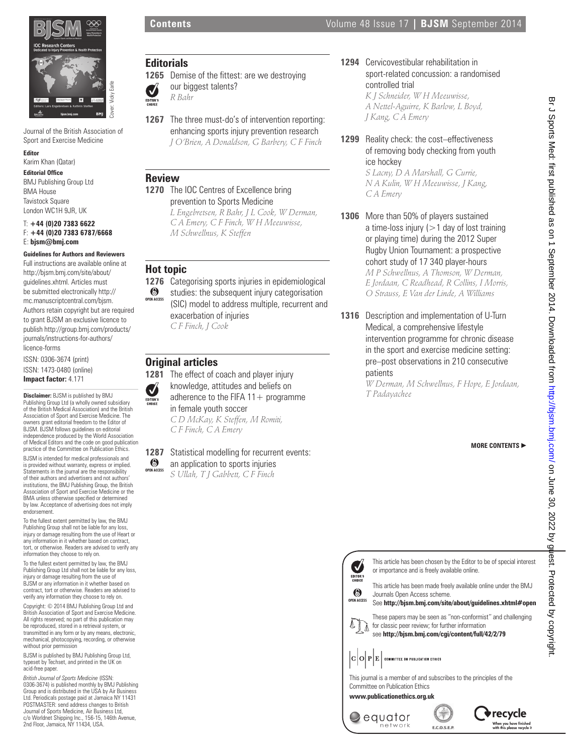

Journal of the British Association of Sport and Exercise Medicine

#### **Editor**

Karim Khan (Qatar)

#### **Editorial Office**

BMJ Publishing Group Ltd BMA House **Tavistock Square** London WC1H 9JR, UK

#### T: **+44 (0)20 7383 6622** F: **+44 (0)20 7383 6787/6668** E: **bjsm@bmj.com**

#### **Guidelines for Authors and Reviewers**

Full instructions are available online at http://bjsm.bmj.com/site/about/ guidelines.xhtml. Articles must be submitted electronically http:// mc.manuscriptcentral.com/bjsm. Authors retain copyright but are required to grant BJSM an exclusive licence to publish http://group.bmj.com/products/ journals/instructions-for-authors/ licence-forms

ISSN: 0306-3674 (print) ISSN: 1473-0480 (online) **Impact factor:** 4.171

**Disclaimer:** BJSM is published by BMJ Publishing Group Ltd (a wholly owned subsidiary of the British Medical Association) and the British Association of Sport and Exercise Medicine. The owners grant editorial freedom to the Editor of BJSM. BJSM follows guidelines on editorial independence produced by the World Association of Medical Editors and the code on good publication practice of the Committee on Publication Ethics. BJSM is intended for medical professionals and is provided without warranty, express or implied. Statements in the journal are the responsibility of their authors and advertisers and not authors' institutions, the BMJ Publishing Group, the British Association of Sport and Exercise Medicine or the BMA unless otherwise specified or determined by law. Acceptance of advertising does not imply endorsement.

To the fullest extent permitted by law, the BMJ Publishing Group shall not be liable for any injury or damage resulting from the use of Heart or any information in it whether based on contract, tort, or otherwise. Readers are advised to verify any information they choose to rely on.

To the fullest extent permitted by law, the BMJ Publishing Group Ltd shall not be liable for any loss, injury or damage resulting from the use of BJSM or any information in it whether based on contract, tort or otherwise. Readers are advised to verify any information they choose to rely on.

Copyright: © 2014 BMJ Publishing Group Ltd and ish Association of Sport and Exercise Medicine All rights reserved; no part of this publication may be reproduced, stored in a retrieval system, or transmitted in any form or by any means, electronic, mechanical, photocopying, recording, or otherwise without prior permission

BJSM is published by BMJ Publishing Group Ltd, typeset by Techset, and printed in the UK on acid-free paper.

*British Journal of Sports Medicine* (ISSN: 0306-3674) is published monthly by BMJ Publishing Group and is distributed in the USA by Air Business Ltd. Periodicals postage paid at Jamaica NY 11431 POSTMASTER: send address changes to British Journal of Sports Medicine, Air Business Ltd, c/o Worldnet Shipping Inc., 156-15, 146th Avenue, 2nd Floor, Jamaica, NY 11434, USA.

# **Editorials**

**1265** Demise of the fittest: are we destroying our biggest talents? Ø *R Bahr* EDITOR'S

- 
- **1267** The three must-do's of intervention reporting: enhancing sports injury prevention research *J O'Brien, A Donaldson, G Barbery, C F Finch*

## **Review**

**1270** The IOC Centres of Excellence bring prevention to Sports Medicine *L Engebretsen, R Bahr, J L Cook, W Derman, C A Emery, C F Finch, W H Meeuwisse, M Schwellnus, K Steffen*

# **Hot topic**

**1276** Categorising sports injuries in epidemiological  $\odot$ studies: the subsequent injury categorisation **OPEN ACCESS** (SIC) model to address multiple, recurrent and

> exacerbation of injuries *C F Finch, J Cook*

# **Original articles**

**1281** The effect of coach and player injury knowledge, attitudes and beliefs on J adherence to the FIFA  $11 +$  programme in female youth soccer *C D McKay, K Steffen, M Romiti, C F Finch, C A Emery*

**1287** Statistical modelling for recurrent events: 6 an application to sports injuries

*S Ullah, T J Gabbett, C F Finch* **OPEN ACCES** 

**1294** Cervicovestibular rehabilitation in sport-related concussion: a randomised controlled trial *K J Schneider, W H Meeuwisse,* 

*A Nettel-Aguirre, K Barlow, L Boyd, J Kang, C A Emery*

**1299** Reality check: the cost–effectiveness of removing body checking from youth ice hockey

*S Lacny, D A Marshall, G Currie, N A Kulin, W H Meeuwisse, J Kang, C A Emery*

- **1306** More than 50% of players sustained a time-loss injury  $(>1$  day of lost training or playing time) during the 2012 Super Rugby Union Tournament: a prospective cohort study of 17 340 player-hours *M P Schwellnus, A Thomson, W Derman, E Jordaan, C Readhead, R Collins, I Morris, O Strauss, E Van der Linde, A Williams*
- **1316** Description and implementation of U-Turn Medical, a comprehensive lifestyle intervention programme for chronic disease in the sport and exercise medicine setting: pre–post observations in 210 consecutive patients

*W Derman, M Schwellnus, F Hope, E Jordaan, T Padayachee*

**MORE CONTENTS** -



This journal is a member of and subscribes to the principles of the Committee on Publication Ethics

**www.publicationethics.org.uk**

EDITOR'S  $\odot$ 

∧